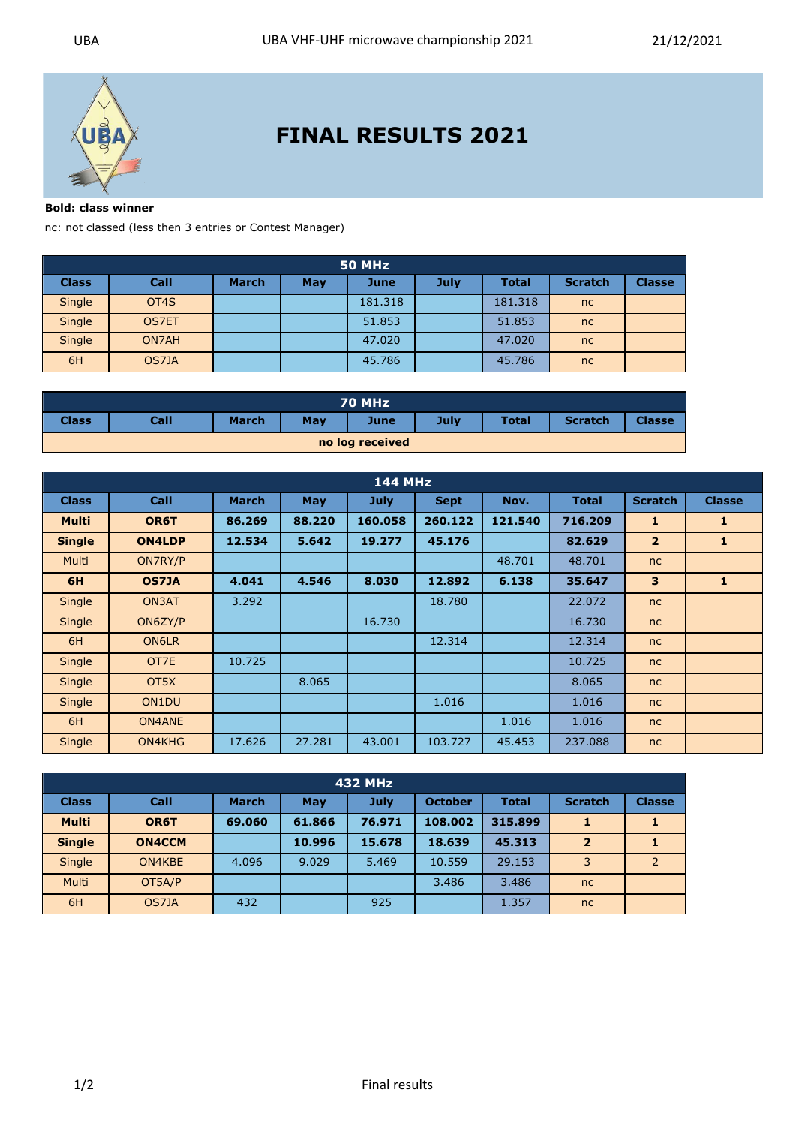

## **FINAL RESULTS 2021**

**Bold: class winner** 

nc: not classed (less then 3 entries or Contest Manager)

|              | 50 MHz            |              |     |             |             |              |                |               |  |  |  |
|--------------|-------------------|--------------|-----|-------------|-------------|--------------|----------------|---------------|--|--|--|
| <b>Class</b> | Call              | <b>March</b> | May | <b>June</b> | <b>July</b> | <b>Total</b> | <b>Scratch</b> | <b>Classe</b> |  |  |  |
| Single       | OT <sub>4</sub> S |              |     | 181.318     |             | 181.318      | nc             |               |  |  |  |
| Single       | <b>OS7ET</b>      |              |     | 51.853      |             | 51.853       | nc             |               |  |  |  |
| Single       | ON7AH             |              |     | 47,020      |             | 47.020       | nc             |               |  |  |  |
| 6H           | OS7JA             |              |     | 45.786      |             | 45.786       | nc             |               |  |  |  |

|              |      |              |     | 70 MHz          |      |              |                |               |
|--------------|------|--------------|-----|-----------------|------|--------------|----------------|---------------|
| <b>Class</b> | Call | <b>March</b> | May | June            | July | <b>Total</b> | <b>Scratch</b> | <b>Classe</b> |
|              |      |              |     | no log received |      |              |                |               |

|               |                   |              |        | <b>144 MHz</b> |             |         |              |                |               |
|---------------|-------------------|--------------|--------|----------------|-------------|---------|--------------|----------------|---------------|
| <b>Class</b>  | <b>Call</b>       | <b>March</b> | May    | <b>July</b>    | <b>Sept</b> | Nov.    | <b>Total</b> | <b>Scratch</b> | <b>Classe</b> |
| <b>Multi</b>  | OR6T              | 86.269       | 88.220 | 160.058        | 260.122     | 121.540 | 716.209      | $\mathbf{1}$   | 1             |
| <b>Single</b> | <b>ON4LDP</b>     | 12.534       | 5.642  | 19.277         | 45.176      |         | 82.629       | $\overline{2}$ | 1             |
| Multi         | ON7RY/P           |              |        |                |             | 48.701  | 48.701       | nc             |               |
| 6H            | <b>OS7JA</b>      | 4.041        | 4.546  | 8.030          | 12.892      | 6.138   | 35.647       | 3              | 1             |
| Single        | ON3AT             | 3.292        |        |                | 18.780      |         | 22.072       | nc             |               |
| Single        | ON6ZY/P           |              |        | 16.730         |             |         | 16.730       | nc             |               |
| 6H            | ON6LR             |              |        |                | 12.314      |         | 12.314       | nc             |               |
| Single        | OT7E              | 10.725       |        |                |             |         | 10.725       | nc             |               |
| Single        | OT <sub>5</sub> X |              | 8.065  |                |             |         | 8.065        | nc             |               |
| Single        | ON1DU             |              |        |                | 1.016       |         | 1.016        | nc             |               |
| 6H            | ON4ANE            |              |        |                |             | 1.016   | 1.016        | nc             |               |
| Single        | ON4KHG            | 17.626       | 27.281 | 43.001         | 103.727     | 45.453  | 237.088      | nc             |               |

|               | 432 MHz       |              |        |        |                |              |                |                |  |  |
|---------------|---------------|--------------|--------|--------|----------------|--------------|----------------|----------------|--|--|
| <b>Class</b>  | Call          | <b>March</b> | May    | July   | <b>October</b> | <b>Total</b> | <b>Scratch</b> | <b>Classe</b>  |  |  |
| <b>Multi</b>  | OR6T          | 69.060       | 61.866 | 76.971 | 108.002        | 315.899      | 1              |                |  |  |
| <b>Single</b> | <b>ON4CCM</b> |              | 10.996 | 15.678 | 18.639         | 45.313       | $\overline{2}$ |                |  |  |
| <b>Single</b> | ON4KBE        | 4.096        | 9.029  | 5.469  | 10.559         | 29.153       | 3              | $\overline{2}$ |  |  |
| <b>Multi</b>  | OT5A/P        |              |        |        | 3.486          | 3.486        | nc             |                |  |  |
| 6H            | OS7JA         | 432          |        | 925    |                | 1.357        | nc             |                |  |  |